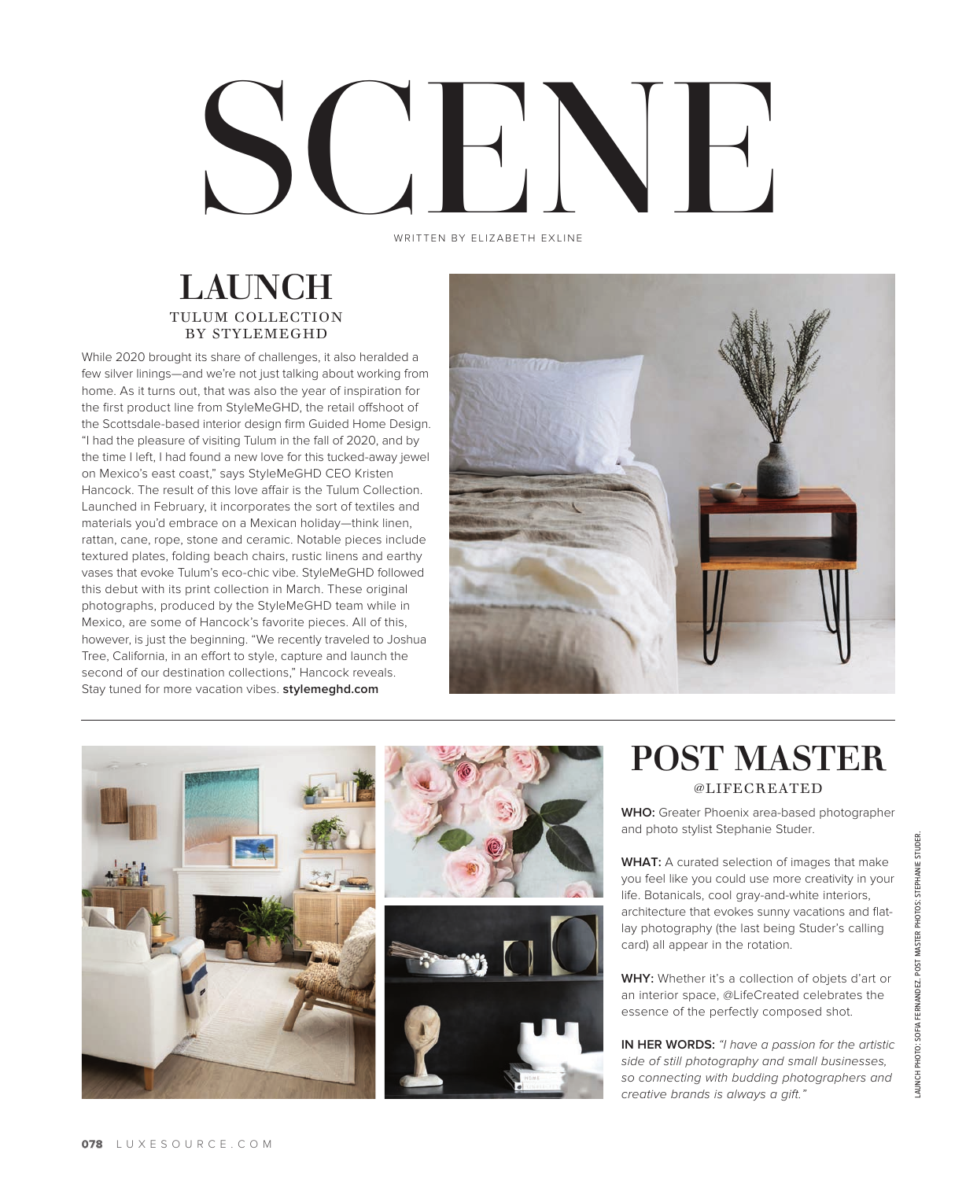# SCENE NE WRITTEN BY ELIZABETH EXLINE

#### LAUNCH TULUM COLLECTION BY STYLEMEGHD

While 2020 brought its share of challenges, it also heralded a few silver linings—and we're not just talking about working from home. As it turns out, that was also the year of inspiration for the first product line from StyleMeGHD, the retail offshoot of the Scottsdale-based interior design firm Guided Home Design. "I had the pleasure of visiting Tulum in the fall of 2020, and by the time I left, I had found a new love for this tucked-away jewel on Mexico's east coast," says StyleMeGHD CEO Kristen Hancock. The result of this love affair is the Tulum Collection. Launched in February, it incorporates the sort of textiles and materials you'd embrace on a Mexican holiday—think linen, rattan, cane, rope, stone and ceramic. Notable pieces include textured plates, folding beach chairs, rustic linens and earthy vases that evoke Tulum's eco-chic vibe. StyleMeGHD followed this debut with its print collection in March. These original photographs, produced by the StyleMeGHD team while in Mexico, are some of Hancock's favorite pieces. All of this, however, is just the beginning. "We recently traveled to Joshua Tree, California, in an effort to style, capture and launch the second of our destination collections," Hancock reveals. Stay tuned for more vacation vibes. **stylemeghd.com**





### POST MASTER @LIFECREATED

**WHO:** Greater Phoenix area-based photographer and photo stylist Stephanie Studer.

**WHAT:** A curated selection of images that make you feel like you could use more creativity in your life. Botanicals, cool gray-and-white interiors, architecture that evokes sunny vacations and flatlay photography (the last being Studer's calling card) all appear in the rotation.

**WHY:** Whether it's a collection of objets d'art or an interior space, @LifeCreated celebrates the essence of the perfectly composed shot.

**IN HER WORDS:** *"I have a passion for the artistic side of still photography and small businesses, so connecting with budding photographers and creative brands is always a gift."*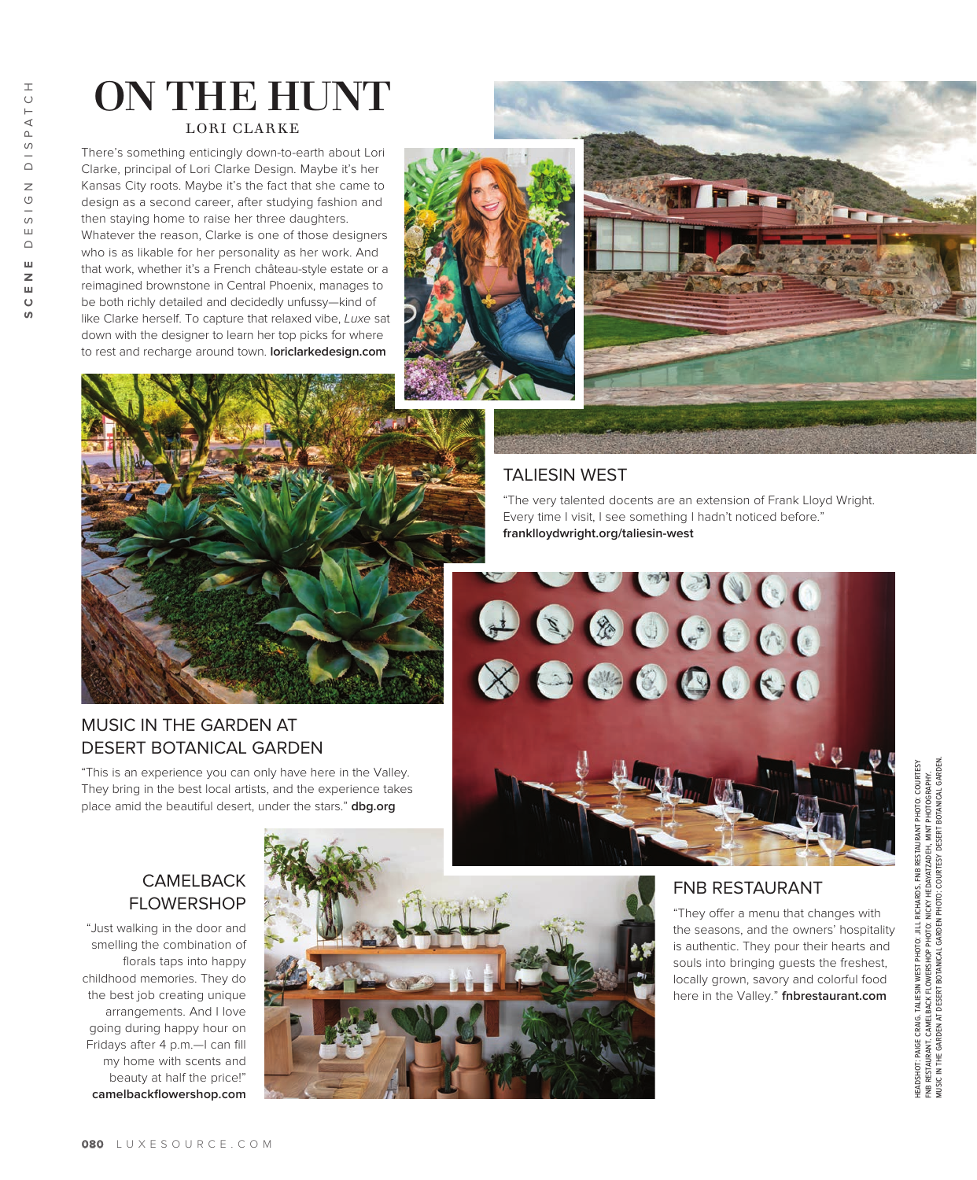# ON THE HUNT LORI CLARKE

There's something enticingly down-to-earth about Lori Clarke, principal of Lori Clarke Design. Maybe it's her Kansas City roots. Maybe it's the fact that she came to design as a second career, after studying fashion and then staying home to raise her three daughters. Whatever the reason, Clarke is one of those designers who is as likable for her personality as her work. And that work, whether it's a French château-style estate or a reimagined brownstone in Central Phoenix, manages to be both richly detailed and decidedly unfussy—kind of like Clarke herself. To capture that relaxed vibe, *Luxe* sat down with the designer to learn her top picks for where to rest and recharge around town. **loriclarkedesign.com**







#### MUSIC IN THE GARDEN AT DESERT BOTANICAL GARDEN

"This is an experience you can only have here in the Valley. They bring in the best local artists, and the experience takes place amid the beautiful desert, under the stars." **dbg.org** 

#### TALIESIN WEST

"The very talented docents are an extension of Frank Lloyd Wright. Every time I visit, I see something I hadn't noticed before." **franklloydwright.org/taliesin-west** 



FNB RESTAURANT

"They offer a menu that changes with the seasons, and the owners' hospitality is authentic. They pour their hearts and souls into bringing guests the freshest, locally grown, savory and colorful food here in the Valley." **fnbrestaurant.com**

# headshot: paige craig. taliesin west photo: jill richards. fnb restaurant photo: courtesy music in the garden at desert botanical garden photo: courtesy desert botanical garden. HEADSHOT: PAIGE CRAIG. TALIESIN WEST PHOTO: JILL RICHARDS. FNB RESTAURANT PHOTO: COURTESY<br>FNB RESTAURANT. CAMELBACK FLOWERSHOP PHOTO: NICKY HEDAYATZADEH, MINT PHOTOGRAPHY.<br>MUSIC IN THE GARDEN AT DESERT BOTANICAL GARDEN PHO fnb restaurant. camelback flowershop photo: nicky hedayatzadeh, mint photography.

#### **CAMELBACK** FLOWERSHOP

"Just walking in the door and smelling the combination of florals taps into happy childhood memories. They do the best job creating unique arrangements. And I love going during happy hour on Fridays after 4 p.m.—I can fill my home with scents and beauty at half the price!" **camelbackflowershop.com**